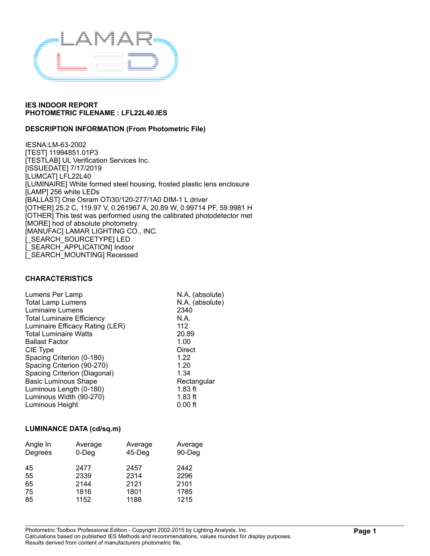

### **DESCRIPTION INFORMATION (From Photometric File)**

IESNA:LM-63-2002 [TEST] 11994851.01P3 [TESTLAB] UL Verification Services Inc. [ISSUEDATE] 7/17/2019 [LUMCAT] LFL22L40 [LUMINAIRE] White formed steel housing, frosted plastic lens enclosure [LAMP] 256 white LEDs [BALLAST] One Osram OTi30/120-277/1A0 DIM-1 L driver [OTHER] 25.2 C, 119.97 V, 0.261967 A, 20.89 W, 0.99714 PF, 59.9981 H [OTHER] This test was performed using the calibrated photodetector met [MORE] hod of absolute photometry. [MANUFAC] LAMAR LIGHTING CO., INC. [\_SEARCH\_SOURCETYPE] LED [\_SEARCH\_APPLICATION] Indoor [\_SEARCH\_MOUNTING] Recessed

#### **CHARACTERISTICS**

| N.A. (absolute) |
|-----------------|
| N.A. (absolute) |
| 2340            |
| N.A.            |
| 112             |
| 20.89           |
| 1.00            |
| Direct          |
| 1.22            |
| 1.20            |
| 1.34            |
| Rectangular     |
| $1.83$ ft       |
| $1.83$ ft       |
| $0.00$ ft       |
|                 |

#### **LUMINANCE DATA (cd/sq.m)**

| Angle In | Average  | Average   | Average |
|----------|----------|-----------|---------|
| Degrees  | $0$ -Deg | $45$ -Deg | 90-Deg  |
| 45       | 2477     | 2457      | 2442    |
| 55       | 2339     | 2314      | 2296    |
| 65       | 2144     | 2121      | 2101    |
| 75       | 1816     | 1801      | 1785    |
| 85       | 1152     | 1188      | 1215    |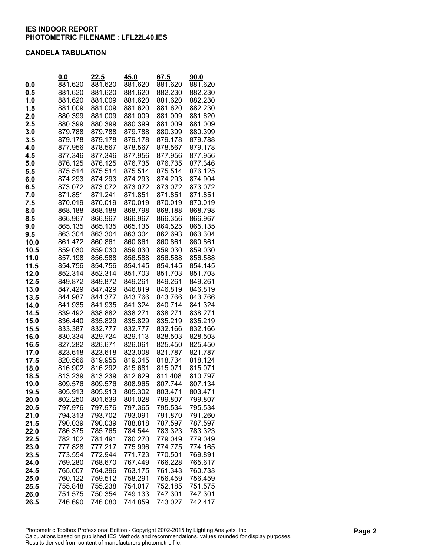### **CANDELA TABULATION**

|              | 0.0                | 22.5               | 45.0               | 67.5               | 90.0               |
|--------------|--------------------|--------------------|--------------------|--------------------|--------------------|
| 0.0          | 881.620            | 881.620            | 881.620            | 881.620            | 881.620            |
| 0.5          | 881.620            | 881.620            | 881.620            | 882.230            | 882.230            |
| 1.0          | 881.620            | 881.009            | 881.620            | 881.620            | 882.230            |
| 1.5          | 881.009            | 881.009            | 881.620            | 881.620            | 882.230            |
| 2.0          | 880.399            | 881.009            | 881.009            | 881.009            | 881.620            |
| 2.5          | 880.399            | 880.399            | 880.399            | 881.009            | 881.009            |
| 3.0          | 879.788            | 879.788            | 879.788            | 880.399            | 880.399            |
| 3.5          | 879.178            | 879.178            | 879.178            | 879.178            | 879.788            |
| 4.0          | 877.956            | 878.567            | 878.567            | 878.567            | 879.178            |
| 4.5          | 877.346            | 877.346            | 877.956            | 877.956            | 877.956            |
| 5.0          | 876.125            | 876.125            | 876.735            | 876.735            | 877.346            |
| 5.5          | 875.514            | 875.514            | 875.514            | 875.514            | 876.125            |
| 6.0          | 874.293            | 874.293            | 874.293            | 874.293            | 874.904            |
| 6.5<br>7.0   | 873.072<br>871.851 | 873.072<br>871.241 | 873.072<br>871.851 | 873.072<br>871.851 | 873.072<br>871.851 |
| 7.5          | 870.019            | 870.019            | 870.019            | 870.019            | 870.019            |
| 8.0          | 868.188            | 868.188            | 868.798            | 868.188            | 868.798            |
| 8.5          | 866.967            | 866.967            | 866.967            | 866.356            | 866.967            |
| 9.0          | 865.135            | 865.135            | 865.135            | 864.525            | 865.135            |
| 9.5          | 863.304            | 863.304            | 863.304            | 862.693            | 863.304            |
| 10.0         | 861.472            | 860.861            | 860.861            | 860.861            | 860.861            |
| 10.5         | 859.030            | 859.030            | 859.030            | 859.030            | 859.030            |
| 11.0         | 857.198            | 856.588            | 856.588            | 856.588            | 856.588            |
| 11.5         | 854.756            | 854.756            | 854.145            | 854.145            | 854.145            |
| 12.0         | 852.314            | 852.314            | 851.703            | 851.703            | 851.703            |
| 12.5         | 849.872            | 849.872            | 849.261            | 849.261            | 849.261            |
| 13.0         | 847.429            | 847.429            | 846.819            | 846.819            | 846.819            |
| 13.5         | 844.987            | 844.377            | 843.766            | 843.766            | 843.766            |
| 14.0         | 841.935            | 841.935            | 841.324            | 840.714            | 841.324            |
| 14.5         | 839.492            | 838.882            | 838.271            | 838.271            | 838.271            |
| 15.0         | 836.440            | 835.829            | 835.829            | 835.219            | 835.219            |
| 15.5         | 833.387            | 832.777            | 832.777            | 832.166            | 832.166            |
| 16.0         | 830.334            | 829.724            | 829.113            | 828.503            | 828.503            |
| 16.5         | 827.282            | 826.671            | 826.061            | 825.450            | 825.450            |
| 17.0         | 823.618            | 823.618            | 823.008            | 821.787            | 821.787            |
| 17.5         | 820.566            | 819.955            | 819.345            | 818.734            | 818.124            |
| 18.0         | 816.902            | 816.292            | 815.681            | 815.071            | 815.071            |
| 18.5         | 813.239            | 813.239            | 812.629            | 811.408            | 810.797            |
| 19.0         | 809.576            | 809.576            | 808.965            | 807.744            | 807.134            |
| 19.5         | 805.913            | 805.913            | 805.302<br>801.028 | 803.471<br>799.807 | 803.471            |
| 20.0<br>20.5 | 802.250<br>797.976 | 801.639<br>797.976 | 797.365            | 795.534            | 799.807<br>795.534 |
| 21.0         | 794.313            | 793.702            | 793.091            | 791.870            | 791.260            |
| 21.5         | 790.039            | 790.039            | 788.818            | 787.597            | 787.597            |
| 22.0         | 786.375            | 785.765            | 784.544            | 783.323            | 783.323            |
| 22.5         | 782.102            | 781.491            | 780.270            | 779.049            | 779.049            |
| 23.0         | 777.828            | 777.217            | 775.996            | 774.775            | 774.165            |
| 23.5         | 773.554            | 772.944            | 771.723            | 770.501            | 769.891            |
| 24.0         | 769.280            | 768.670            | 767.449            | 766.228            | 765.617            |
| 24.5         | 765.007            | 764.396            | 763.175            | 761.343            | 760.733            |
| 25.0         | 760.122            | 759.512            | 758.291            | 756.459            | 756.459            |
| 25.5         | 755.848            | 755.238            | 754.017            | 752.185            | 751.575            |
| 26.0         | 751.575            | 750.354            | 749.133            | 747.301            | 747.301            |
| 26.5         | 746.690            | 746.080            | 744.859            | 743.027            | 742.417            |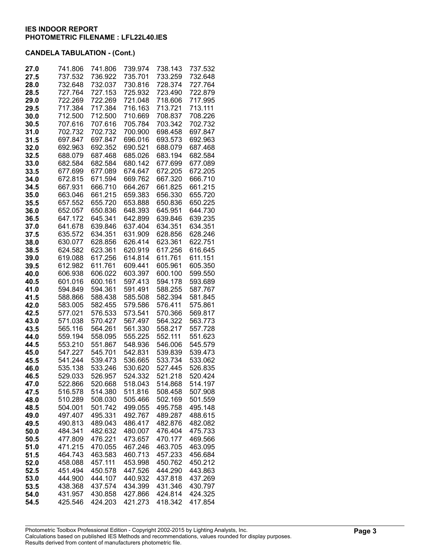| 27.0         | 741.806 | 741.806 | 739.974 | 738.143            | 737.532            |
|--------------|---------|---------|---------|--------------------|--------------------|
| 27.5         | 737.532 | 736.922 | 735.701 | 733.259            | 732.648            |
| 28.0         | 732.648 | 732.037 | 730.816 | 728.374            | 727.764            |
| 28.5         | 727.764 | 727.153 | 725.932 | 723.490            | 722.879            |
| 29.0         | 722.269 | 722.269 | 721.048 | 718.606            | 717.995            |
| 29.5         | 717.384 | 717.384 | 716.163 | 713.721            | 713.111            |
| 30.0         | 712.500 | 712.500 | 710.669 | 708.837            | 708.226            |
| 30.5         | 707.616 | 707.616 | 705.784 | 703.342            | 702.732            |
| 31.0         | 702.732 | 702.732 | 700.900 | 698.458            | 697.847            |
| 31.5         | 697.847 | 697.847 | 696.016 | 693.573            | 692.963            |
| 32.0         | 692.963 | 692.352 | 690.521 | 688.079            | 687.468            |
| 32.5         | 688.079 | 687.468 | 685.026 | 683.194            | 682.584            |
| 33.0         | 682.584 | 682.584 | 680.142 | 677.699            | 677.089            |
| 33.5         | 677.699 | 677.089 | 674.647 | 672.205            | 672.205            |
| 34.0         | 672.815 | 671.594 | 669.762 | 667.320            | 666.710            |
| 34.5         | 667.931 | 666.710 | 664.267 | 661.825            | 661.215            |
| 35.0         | 663.046 | 661.215 | 659.383 | 656.330            | 655.720            |
| 35.5         | 657.552 | 655.720 | 653.888 | 650.836            | 650.225            |
| 36.0         | 652.057 | 650.836 | 648.393 | 645.951            | 644.730            |
| 36.5         | 647.172 | 645.341 | 642.899 |                    |                    |
|              | 641.678 | 639.846 | 637.404 | 639.846<br>634.351 | 639.235<br>634.351 |
| 37.0         | 635.572 | 634.351 | 631.909 | 628.856            | 628.246            |
| 37.5         | 630.077 | 628.856 | 626.414 |                    | 622.751            |
| 38.0         | 624.582 | 623.361 | 620.919 | 623.361<br>617.256 | 616.645            |
| 38.5<br>39.0 | 619.088 | 617.256 | 614.814 | 611.761            | 611.151            |
| 39.5         | 612.982 | 611.761 | 609.441 | 605.961            | 605.350            |
| 40.0         | 606.938 | 606.022 | 603.397 | 600.100            | 599.550            |
| 40.5         | 601.016 | 600.161 | 597.413 | 594.178            | 593.689            |
| 41.0         | 594.849 | 594.361 | 591.491 | 588.255            | 587.767            |
| 41.5         | 588.866 | 588.438 | 585.508 | 582.394            | 581.845            |
| 42.0         | 583.005 | 582.455 | 579.586 | 576.411            | 575.861            |
| 42.5         | 577.021 | 576.533 | 573.541 | 570.366            | 569.817            |
| 43.0         | 571.038 | 570.427 | 567.497 | 564.322            | 563.773            |
| 43.5         | 565.116 | 564.261 | 561.330 | 558.217            | 557.728            |
| 44.0         | 559.194 | 558.095 | 555.225 | 552.111            | 551.623            |
| 44.5         | 553.210 | 551.867 | 548.936 | 546.006            | 545.579            |
| 45.0         | 547.227 | 545.701 | 542.831 | 539.839            | 539.473            |
| 45.5         | 541.244 | 539.473 | 536.665 | 533.734            | 533.062            |
| 46.0         | 535.138 | 533.246 | 530.620 | 527.445            | 526.835            |
| 46.5         | 529.033 | 526.957 | 524.332 | 521.218            | 520.424            |
| 47.0         | 522.866 | 520.668 | 518.043 | 514.868            | 514.197            |
| 47.5         | 516.578 | 514.380 | 511.816 | 508.458            | 507.908            |
| 48.0         | 510.289 | 508.030 | 505.466 | 502.169            | 501.559            |
| 48.5         | 504.001 | 501.742 | 499.055 | 495.758            | 495.148            |
| 49.0         | 497.407 | 495.331 | 492.767 | 489.287            | 488.615            |
| 49.5         | 490.813 | 489.043 | 486.417 | 482.876            | 482.082            |
| 50.0         | 484.341 | 482.632 | 480.007 | 476.404            | 475.733            |
| 50.5         | 477.809 | 476.221 | 473.657 | 470.177            | 469.566            |
| 51.0         | 471.215 | 470.055 | 467.246 | 463.705            | 463.095            |
| 51.5         | 464.743 | 463.583 | 460.713 | 457.233            | 456.684            |
| 52.0         | 458.088 | 457.111 | 453.998 | 450.762            | 450.212            |
| 52.5         | 451.494 | 450.578 | 447.526 | 444.290            | 443.863            |
| 53.0         | 444.900 | 444.107 | 440.932 | 437.818            | 437.269            |
| 53.5         | 438.368 | 437.574 | 434.399 | 431.346            | 430.797            |
| 54.0         | 431.957 | 430.858 | 427.866 | 424.814            | 424.325            |
| 54.5         | 425.546 | 424.203 | 421.273 | 418.342            | 417.854            |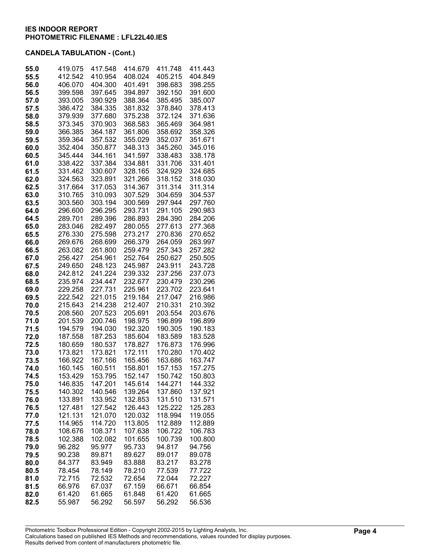| 55.0         | 419.075            | 417.548            | 414.679            | 411.748            | 411.443            |
|--------------|--------------------|--------------------|--------------------|--------------------|--------------------|
| 55.5         | 412.542            | 410.954            | 408.024            | 405.215            | 404.849            |
| 56.0         | 406.070            | 404.300            | 401.491            | 398.683            | 398.255            |
| 56.5         | 399.598            | 397.645            | 394.897            | 392.150            | 391.600            |
| 57.0         | 393.005            | 390.929            | 388.364            | 385.495            | 385.007            |
| 57.5         | 386.472            | 384.335            | 381.832            | 378.840            | 378.413            |
| 58.0         | 379.939            | 377.680            | 375.238            | 372.124            | 371.636            |
| 58.5         | 373.345            | 370.903            | 368.583            | 365.469            | 364.981            |
| 59.0         | 366.385            | 364.187            | 361.806            | 358.692            | 358.326            |
| 59.5         | 359.364            | 357.532            | 355.029            | 352.037            | 351.671            |
| 60.0         | 352.404            | 350.877            | 348.313            | 345.260            | 345.016            |
| 60.5         | 345.444            | 344.161            | 341.597            | 338.483            | 338.178            |
| 61.0         | 338.422            | 337.384            | 334.881            | 331.706            | 331.401            |
| 61.5         | 331.462            | 330.607            | 328.165            | 324.929            | 324.685            |
| 62.0         | 324.563            | 323.891            | 321.266            | 318.152            | 318.030            |
| 62.5         | 317.664            | 317.053            | 314.367            | 311.314            | 311.314            |
| 63.0         | 310.765            | 310.093            | 307.529            | 304.659            | 304.537            |
| 63.5         | 303.560            | 303.194            | 300.569            | 297.944            | 297.760            |
| 64.0         | 296.600            | 296.295            | 293.731            | 291.105            | 290.983            |
| 64.5         | 289.701            | 289.396            | 286.893            | 284.390            | 284.206            |
| 65.0         | 283.046            | 282.497            | 280.055            | 277.613            | 277.368            |
| 65.5         | 276.330            | 275.598            | 273.217            | 270.836            | 270.652            |
| 66.0         | 269.676            | 268.699            | 266.379            | 264.059            | 263.997            |
| 66.5         | 263.082            | 261.800            | 259.479            | 257.343            | 257.282<br>250.505 |
| 67.0         | 256.427<br>249.650 | 254.961<br>248.123 | 252.764<br>245.987 | 250.627<br>243.911 | 243.728            |
| 67.5<br>68.0 | 242.812            | 241.224            | 239.332            | 237.256            | 237.073            |
| 68.5         | 235.974            | 234.447            | 232.677            | 230.479            | 230.296            |
| 69.0         | 229.258            | 227.731            | 225.961            | 223.702            | 223.641            |
| 69.5         | 222.542            | 221.015            | 219.184            | 217.047            | 216.986            |
| 70.0         | 215.643            | 214.238            | 212.407            | 210.331            | 210.392            |
| 70.5         | 208.560            | 207.523            | 205.691            | 203.554            | 203.676            |
| 71.0         | 201.539            | 200.746            | 198.975            | 196.899            | 196.899            |
| 71.5         | 194.579            | 194.030            | 192.320            | 190.305            | 190.183            |
| 72.0         | 187.558            | 187.253            | 185.604            | 183.589            | 183.528            |
| 72.5         | 180.659            | 180.537            | 178.827            | 176.873            | 176.996            |
| 73.0         | 173.821            | 173.821            | 172.111            | 170.280            | 170.402            |
| 73.5         | 166.922            | 167.166            | 165.456            | 163.686            | 163.747            |
| 74.0         | 160.145            | 160.511            | 158.801            | 157.153            | 157.275            |
| 74.5         | 153.429            | 153.795            | 152.147            | 150.742            | 150.803            |
| 75.0         | 146.835            | 147.201            | 145.614            | 144.271            | 144.332            |
| 75.5         | 140.302            | 140.546            | 139.264            | 137.860            | 137.921            |
| 76.0         | 133.891            | 133.952            | 132.853            | 131.510            | 131.571            |
| 76.5         | 127.481            | 127.542            | 126.443            | 125.222            | 125.283            |
| 77.0         | 121.131            | 121.070            | 120.032            | 118.994            | 119.055            |
| 77.5         | 114.965            | 114.720            | 113.805            | 112.889            | 112.889            |
| 78.0         | 108.676            | 108.371            | 107.638            | 106.722            | 106.783            |
| 78.5         | 102.388            | 102.082            | 101.655            | 100.739            | 100.800            |
| 79.0         | 96.282             | 95.977             | 95.733             | 94.817             | 94.756             |
| 79.5         | 90.238             | 89.871             | 89.627             | 89.017             | 89.078             |
| 80.0         | 84.377             | 83.949             | 83.888             | 83.217             | 83.278             |
| 80.5         | 78.454<br>72.715   | 78.149<br>72.532   | 78.210<br>72.654   | 77.539<br>72.044   | 77.722<br>72.227   |
| 81.0<br>81.5 | 66.976             | 67.037             | 67.159             | 66.671             | 66.854             |
| 82.0         | 61.420             | 61.665             | 61.848             | 61.420             | 61.665             |
| 82.5         | 55.987             | 56.292             | 56.597             | 56.292             | 56.536             |
|              |                    |                    |                    |                    |                    |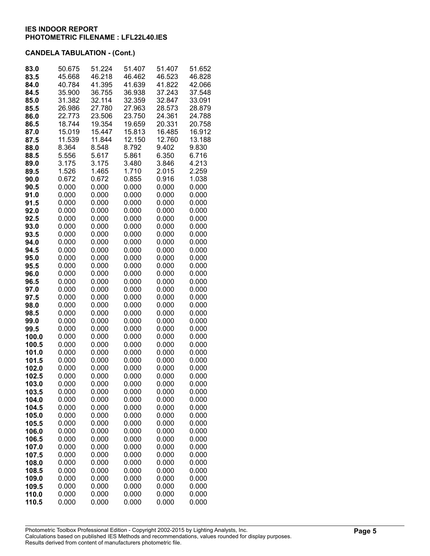| 83.0           | 50.675         | 51.224         | 51.407         | 51.407         | 51.652         |
|----------------|----------------|----------------|----------------|----------------|----------------|
| 83.5           | 45.668         | 46.218         | 46.462         | 46.523         | 46.828         |
| 84.0           | 40.784         | 41.395         | 41.639         | 41.822         | 42.066         |
| 84.5           | 35.900         | 36.755         | 36.938         | 37.243         | 37.548         |
| 85.0           | 31.382         | 32.114         | 32.359         | 32.847         | 33.091         |
| 85.5           | 26.986         | 27.780         | 27.963         | 28.573         | 28.879         |
| 86.0           | 22.773         | 23.506         | 23.750         | 24.361         | 24.788         |
| 86.5           | 18.744         | 19.354         | 19.659         | 20.331         | 20.758         |
| 87.0           | 15.019         | 15.447         | 15.813         | 16.485         | 16.912         |
| 87.5           | 11.539         | 11.844         | 12.150         | 12.760         | 13.188         |
| 88.0           | 8.364          | 8.548          | 8.792<br>5.861 | 9.402<br>6.350 | 9.830<br>6.716 |
| 88.5<br>89.0   | 5.556<br>3.175 | 5.617<br>3.175 | 3.480          | 3.846          | 4.213          |
| 89.5           | 1.526          | 1.465          | 1.710          | 2.015          | 2.259          |
| 90.0           | 0.672          | 0.672          | 0.855          | 0.916          | 1.038          |
| 90.5           | 0.000          | 0.000          | 0.000          | 0.000          | 0.000          |
| 91.0           | 0.000          | 0.000          | 0.000          | 0.000          | 0.000          |
| 91.5           | 0.000          | 0.000          | 0.000          | 0.000          | 0.000          |
| 92.0           | 0.000          | 0.000          | 0.000          | 0.000          | 0.000          |
| 92.5           | 0.000          | 0.000          | 0.000          | 0.000          | 0.000          |
| 93.0           | 0.000          | 0.000          | 0.000          | 0.000          | 0.000          |
| 93.5           | 0.000          | 0.000          | 0.000          | 0.000          | 0.000          |
| 94.0           | 0.000          | 0.000          | 0.000          | 0.000          | 0.000          |
| 94.5           | 0.000          | 0.000          | 0.000          | 0.000          | 0.000          |
| 95.0           | 0.000          | 0.000          | 0.000          | 0.000          | 0.000          |
| 95.5           | 0.000          | 0.000          | 0.000          | 0.000          | 0.000          |
| 96.0           | 0.000          | 0.000          | 0.000          | 0.000          | 0.000          |
| 96.5           | 0.000          | 0.000          | 0.000          | 0.000          | 0.000          |
| 97.0<br>97.5   | 0.000<br>0.000 | 0.000<br>0.000 | 0.000<br>0.000 | 0.000<br>0.000 | 0.000<br>0.000 |
| 98.0           | 0.000          | 0.000          | 0.000          | 0.000          | 0.000          |
| 98.5           | 0.000          | 0.000          | 0.000          | 0.000          | 0.000          |
| 99.0           | 0.000          | 0.000          | 0.000          | 0.000          | 0.000          |
| 99.5           | 0.000          | 0.000          | 0.000          | 0.000          | 0.000          |
| 100.0          | 0.000          | 0.000          | 0.000          | 0.000          | 0.000          |
| 100.5          | 0.000          | 0.000          | 0.000          | 0.000          | 0.000          |
| 101.0          | 0.000          | 0.000          | 0.000          | 0.000          | 0.000          |
| 101.5          | 0.000          | 0.000          | 0.000          | 0.000          | 0.000          |
| 102.0          | 0.000          | 0.000          | 0.000          | 0.000          | 0.000          |
| 102.5          | 0.000          | 0.000          | 0.000          | 0.000          | 0.000          |
| 103.0          | 0.000          | 0.000          | 0.000          | 0.000          | 0.000          |
| 103.5          | 0.000          | 0.000          | 0.000          | 0.000          | 0.000          |
| 104.0          | 0.000          | 0.000          | 0.000          | 0.000          | 0.000          |
| 104.5<br>105.0 | 0.000<br>0.000 | 0.000<br>0.000 | 0.000<br>0.000 | 0.000<br>0.000 | 0.000<br>0.000 |
| 105.5          | 0.000          | 0.000          | 0.000          | 0.000          | 0.000          |
| 106.0          | 0.000          | 0.000          | 0.000          | 0.000          | 0.000          |
| 106.5          | 0.000          | 0.000          | 0.000          | 0.000          | 0.000          |
| 107.0          | 0.000          | 0.000          | 0.000          | 0.000          | 0.000          |
| 107.5          | 0.000          | 0.000          | 0.000          | 0.000          | 0.000          |
| 108.0          | 0.000          | 0.000          | 0.000          | 0.000          | 0.000          |
| 108.5          | 0.000          | 0.000          | 0.000          | 0.000          | 0.000          |
| 109.0          | 0.000          | 0.000          | 0.000          | 0.000          | 0.000          |
| 109.5          | 0.000          | 0.000          | 0.000          | 0.000          | 0.000          |
| 110.0          | 0.000          | 0.000          | 0.000          | 0.000          | 0.000          |
| 110.5          | 0.000          | 0.000          | 0.000          | 0.000          | 0.000          |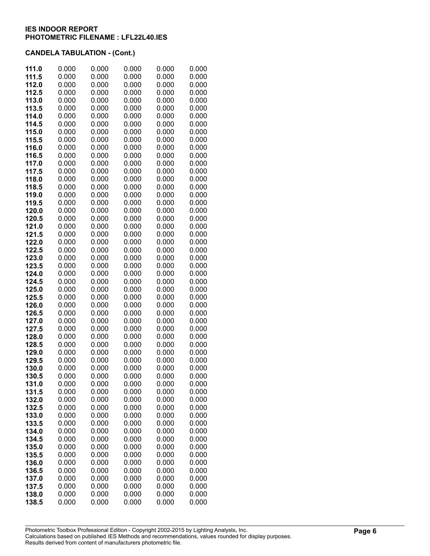| 111.0          | 0.000          | 0.000          | 0.000          | 0.000          | 0.000          |
|----------------|----------------|----------------|----------------|----------------|----------------|
| 111.5          | 0.000          | 0.000          | 0.000          | 0.000          | 0.000          |
| 112.0          | 0.000          | 0.000          | 0.000          | 0.000          | 0.000          |
| 112.5          | 0.000          | 0.000          | 0.000          | 0.000          | 0.000          |
| 113.0          | 0.000          | 0.000          | 0.000          | 0.000          | 0.000          |
| 113.5          | 0.000          | 0.000          | 0.000          | 0.000          | 0.000          |
| 114.0          | 0.000          | 0.000          | 0.000          | 0.000          | 0.000          |
| 114.5          | 0.000          | 0.000          | 0.000          | 0.000          | 0.000          |
| 115.0          | 0.000          | 0.000          | 0.000          | 0.000          | 0.000          |
| 115.5          | 0.000          | 0.000          | 0.000          | 0.000          | 0.000          |
| 116.0          | 0.000          | 0.000          | 0.000          | 0.000          | 0.000          |
| 116.5          | 0.000          | 0.000          | 0.000          | 0.000          | 0.000          |
| 117.0          | 0.000          | 0.000          | 0.000          | 0.000          | 0.000          |
| 117.5          | 0.000          | 0.000          | 0.000          | 0.000          | 0.000          |
| 118.0<br>118.5 | 0.000<br>0.000 | 0.000<br>0.000 | 0.000<br>0.000 | 0.000<br>0.000 | 0.000<br>0.000 |
| 119.0          | 0.000          | 0.000          | 0.000          | 0.000          | 0.000          |
| 119.5          | 0.000          | 0.000          | 0.000          | 0.000          | 0.000          |
| 120.0          | 0.000          | 0.000          | 0.000          | 0.000          | 0.000          |
| 120.5          | 0.000          | 0.000          | 0.000          | 0.000          | 0.000          |
| 121.0          | 0.000          | 0.000          | 0.000          | 0.000          | 0.000          |
| 121.5          | 0.000          | 0.000          | 0.000          | 0.000          | 0.000          |
| 122.0          | 0.000          | 0.000          | 0.000          | 0.000          | 0.000          |
| 122.5          | 0.000          | 0.000          | 0.000          | 0.000          | 0.000          |
| 123.0          | 0.000          | 0.000          | 0.000          | 0.000          | 0.000          |
| 123.5          | 0.000          | 0.000          | 0.000          | 0.000          | 0.000          |
| 124.0          | 0.000          | 0.000          | 0.000          | 0.000          | 0.000          |
| 124.5          | 0.000          | 0.000          | 0.000          | 0.000          | 0.000          |
| 125.0          | 0.000          | 0.000          | 0.000          | 0.000          | 0.000          |
| 125.5          | 0.000          | 0.000          | 0.000          | 0.000          | 0.000          |
| 126.0          | 0.000          | 0.000          | 0.000          | 0.000          | 0.000          |
| 126.5          | 0.000          | 0.000          | 0.000          | 0.000          | 0.000          |
| 127.0          | 0.000          | 0.000          | 0.000          | 0.000          | 0.000          |
| 127.5          | 0.000<br>0.000 | 0.000<br>0.000 | 0.000<br>0.000 | 0.000<br>0.000 | 0.000<br>0.000 |
| 128.0<br>128.5 | 0.000          | 0.000          | 0.000          | 0.000          | 0.000          |
| 129.0          | 0.000          | 0.000          | 0.000          | 0.000          | 0.000          |
| 129.5          | 0.000          | 0.000          | 0.000          | 0.000          | 0.000          |
| 130.0          | 0.000          | 0.000          | 0.000          | 0.000          | 0.000          |
| 130.5          | 0.000          | 0.000          | 0.000          | 0.000          | 0.000          |
| 131.0          | 0.000          | 0.000          | 0.000          | 0.000          | 0.000          |
| 131.5          | 0.000          | 0.000          | 0.000          | 0.000          | 0.000          |
| 132.0          | 0.000          | 0.000          | 0.000          | 0.000          | 0.000          |
| 132.5          | 0.000          | 0.000          | 0.000          | 0.000          | 0.000          |
| 133.0          | 0.000          | 0.000          | 0.000          | 0.000          | 0.000          |
| 133.5          | 0.000          | 0.000          | 0.000          | 0.000          | 0.000          |
| 134.0          | 0.000          | 0.000          | 0.000          | 0.000          | 0.000          |
| 134.5          | 0.000          | 0.000          | 0.000          | 0.000          | 0.000          |
| 135.0          | 0.000          | 0.000          | 0.000          | 0.000          | 0.000          |
| 135.5          | 0.000          | 0.000          | 0.000          | 0.000          | 0.000          |
| 136.0          | 0.000          | 0.000          | 0.000          | 0.000          | 0.000          |
| 136.5<br>137.0 | 0.000<br>0.000 | 0.000<br>0.000 | 0.000<br>0.000 | 0.000<br>0.000 | 0.000<br>0.000 |
| 137.5          | 0.000          | 0.000          | 0.000          | 0.000          | 0.000          |
| 138.0          | 0.000          | 0.000          | 0.000          | 0.000          | 0.000          |
| 138.5          | 0.000          | 0.000          | 0.000          | 0.000          | 0.000          |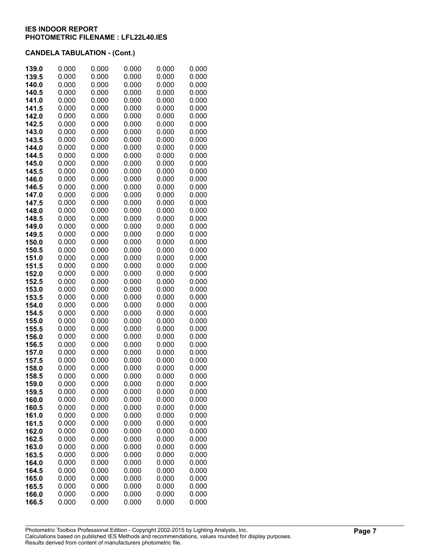| 139.0          | 0.000          | 0.000          | 0.000          | 0.000          | 0.000          |
|----------------|----------------|----------------|----------------|----------------|----------------|
| 139.5          | 0.000          | 0.000          | 0.000          | 0.000          | 0.000          |
| 140.0          | 0.000          | 0.000          | 0.000          | 0.000          | 0.000          |
| 140.5          | 0.000          | 0.000          | 0.000          | 0.000          | 0.000          |
| 141.0          | 0.000          | 0.000          | 0.000          | 0.000          | 0.000          |
| 141.5          | 0.000          | 0.000          | 0.000          | 0.000          | 0.000          |
| 142.0          | 0.000          | 0.000          | 0.000          | 0.000          | 0.000          |
| 142.5          | 0.000          | 0.000          | 0.000          | 0.000          | 0.000          |
| 143.0          | 0.000          | 0.000          | 0.000          | 0.000          | 0.000          |
| 143.5          | 0.000          | 0.000          | 0.000          | 0.000          | 0.000          |
| 144.0          | 0.000          | 0.000          | 0.000          | 0.000          | 0.000          |
| 144.5          | 0.000          | 0.000          | 0.000          | 0.000          | 0.000          |
| 145.0          | 0.000          | 0.000          | 0.000          | 0.000          | 0.000          |
| 145.5          | 0.000          | 0.000          | 0.000          | 0.000          | 0.000          |
| 146.0          | 0.000          | 0.000          | 0.000          | 0.000          | 0.000          |
| 146.5          | 0.000          | 0.000          | 0.000          | 0.000          | 0.000          |
| 147.0          | 0.000          | 0.000          | 0.000          | 0.000          | 0.000          |
| 147.5<br>148.0 | 0.000<br>0.000 | 0.000<br>0.000 | 0.000<br>0.000 | 0.000<br>0.000 | 0.000<br>0.000 |
| 148.5          | 0.000          | 0.000          | 0.000          | 0.000          | 0.000          |
| 149.0          | 0.000          | 0.000          | 0.000          | 0.000          | 0.000          |
| 149.5          | 0.000          | 0.000          | 0.000          | 0.000          | 0.000          |
| 150.0          | 0.000          | 0.000          | 0.000          | 0.000          | 0.000          |
| 150.5          | 0.000          | 0.000          | 0.000          | 0.000          | 0.000          |
| 151.0          | 0.000          | 0.000          | 0.000          | 0.000          | 0.000          |
| 151.5          | 0.000          | 0.000          | 0.000          | 0.000          | 0.000          |
| 152.0          | 0.000          | 0.000          | 0.000          | 0.000          | 0.000          |
| 152.5          | 0.000          | 0.000          | 0.000          | 0.000          | 0.000          |
| 153.0          | 0.000          | 0.000          | 0.000          | 0.000          | 0.000          |
| 153.5          | 0.000          | 0.000          | 0.000          | 0.000          | 0.000          |
| 154.0          | 0.000          | 0.000          | 0.000          | 0.000          | 0.000          |
| 154.5          | 0.000          | 0.000          | 0.000          | 0.000          | 0.000          |
| 155.0          | 0.000          | 0.000          | 0.000          | 0.000          | 0.000          |
| 155.5          | 0.000          | 0.000          | 0.000          | 0.000          | 0.000          |
| 156.0          | 0.000          | 0.000          | 0.000          | 0.000          | 0.000          |
| 156.5          | 0.000          | 0.000          | 0.000          | 0.000          | 0.000          |
| 157.0          | 0.000          | 0.000          | 0.000          | 0.000          | 0.000          |
| 157.5          | 0.000          | 0.000          | 0.000          | 0.000          | 0.000          |
| 158.0          | 0.000<br>0.000 | 0.000<br>0.000 | 0.000<br>0.000 | 0.000<br>0.000 | 0.000          |
| 158.5<br>159.0 | 0.000          | 0.000          | 0.000          | 0.000          | 0.000<br>0.000 |
| 159.5          | 0.000          | 0.000          | 0.000          | 0.000          | 0.000          |
| 160.0          | 0.000          | 0.000          | 0.000          | 0.000          | 0.000          |
| 160.5          | 0.000          | 0.000          | 0.000          | 0.000          | 0.000          |
| 161.0          | 0.000          | 0.000          | 0.000          | 0.000          | 0.000          |
| 161.5          | 0.000          | 0.000          | 0.000          | 0.000          | 0.000          |
| 162.0          | 0.000          | 0.000          | 0.000          | 0.000          | 0.000          |
| 162.5          | 0.000          | 0.000          | 0.000          | 0.000          | 0.000          |
| 163.0          | 0.000          | 0.000          | 0.000          | 0.000          | 0.000          |
| 163.5          | 0.000          | 0.000          | 0.000          | 0.000          | 0.000          |
| 164.0          | 0.000          | 0.000          | 0.000          | 0.000          | 0.000          |
| 164.5          | 0.000          | 0.000          | 0.000          | 0.000          | 0.000          |
| 165.0          | 0.000          | 0.000          | 0.000          | 0.000          | 0.000          |
| 165.5          | 0.000          | 0.000          | 0.000          | 0.000          | 0.000          |
| 166.0          | 0.000          | 0.000          | 0.000          | 0.000          | 0.000          |
| 166.5          | 0.000          | 0.000          | 0.000          | 0.000          | 0.000          |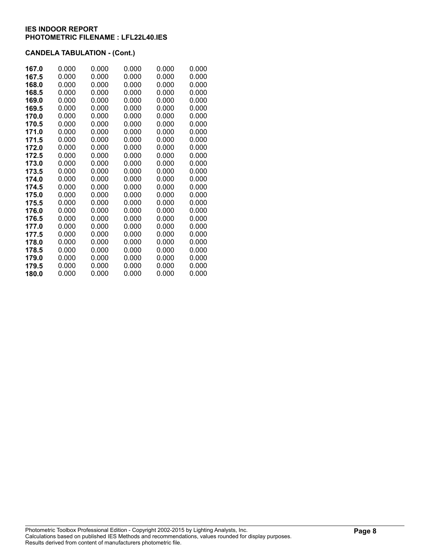| 167.0 | 0.000 | 0.000 | 0.000 | 0.000 | 0.000 |
|-------|-------|-------|-------|-------|-------|
| 167.5 | 0.000 | 0.000 | 0.000 | 0.000 | 0.000 |
| 168.0 | 0.000 | 0.000 | 0.000 | 0.000 | 0.000 |
| 168.5 | 0.000 | 0.000 | 0.000 | 0.000 | 0.000 |
| 169.0 | 0.000 | 0.000 | 0.000 | 0.000 | 0.000 |
| 169.5 | 0.000 | 0.000 | 0.000 | 0.000 | 0.000 |
| 170.0 | 0.000 | 0.000 | 0.000 | 0.000 | 0.000 |
| 170.5 | 0.000 | 0.000 | 0.000 | 0.000 | 0.000 |
| 171.0 | 0.000 | 0.000 | 0.000 | 0.000 | 0.000 |
| 171.5 | 0.000 | 0.000 | 0.000 | 0.000 | 0.000 |
| 172.0 | 0.000 | 0.000 | 0.000 | 0.000 | 0.000 |
| 172.5 | 0.000 | 0.000 | 0.000 | 0.000 | 0.000 |
| 173.0 | 0.000 | 0.000 | 0.000 | 0.000 | 0.000 |
| 173.5 | 0.000 | 0.000 | 0.000 | 0.000 | 0.000 |
| 174.0 | 0.000 | 0.000 | 0.000 | 0.000 | 0.000 |
| 174.5 | 0.000 | 0.000 | 0.000 | 0.000 | 0.000 |
| 175.0 | 0.000 | 0.000 | 0.000 | 0.000 | 0.000 |
| 175.5 | 0.000 | 0.000 | 0.000 | 0.000 | 0.000 |
| 176.0 | 0.000 | 0.000 | 0.000 | 0.000 | 0.000 |
| 176.5 | 0.000 | 0.000 | 0.000 | 0.000 | 0.000 |
| 177.0 | 0.000 | 0.000 | 0.000 | 0.000 | 0.000 |
| 177.5 | 0.000 | 0.000 | 0.000 | 0.000 | 0.000 |
| 178.0 | 0.000 | 0.000 | 0.000 | 0.000 | 0.000 |
| 178.5 | 0.000 | 0.000 | 0.000 | 0.000 | 0.000 |
| 179.0 | 0.000 | 0.000 | 0.000 | 0.000 | 0.000 |
| 179.5 | 0.000 | 0.000 | 0.000 | 0.000 | 0.000 |
| 180.0 | 0.000 | 0.000 | 0.000 | 0.000 | 0.000 |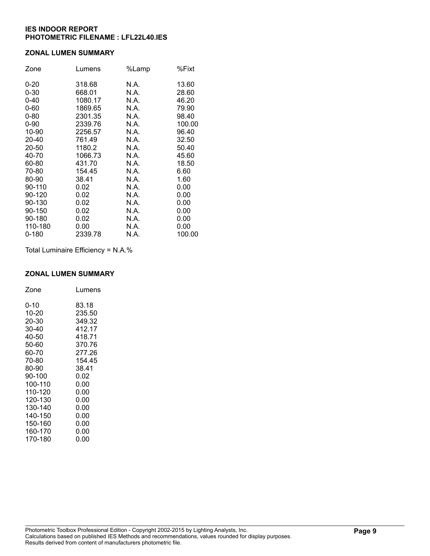### **ZONAL LUMEN SUMMARY**

| Zone      | Lumens  | %Lamp | %Fixt  |
|-----------|---------|-------|--------|
| $0 - 20$  | 318.68  | N.A.  | 13.60  |
| $0 - 30$  | 668.01  | N.A.  | 28.60  |
| $0 - 40$  | 1080.17 | N.A.  | 46.20  |
| $0 - 60$  | 1869.65 | N.A.  | 79.90  |
| $0 - 80$  | 2301.35 | N.A.  | 98.40  |
| $0 - 90$  | 2339.76 | N.A.  | 100.00 |
| 10-90     | 2256.57 | N.A.  | 96.40  |
| 20-40     | 761.49  | N.A.  | 32.50  |
| 20-50     | 1180.2  | N.A.  | 50.40  |
| 40-70     | 1066.73 | N.A.  | 45.60  |
| 60-80     | 431.70  | N.A.  | 18.50  |
| 70-80     | 154.45  | N.A.  | 6.60   |
| 80-90     | 38.41   | N.A.  | 1.60   |
| 90-110    | 0.02    | N.A.  | 0.00   |
| 90-120    | 0.02    | N.A.  | 0.00   |
| 90-130    | 0.02    | N.A.  | 0.00   |
| 90-150    | 0.02    | N.A.  | 0.00   |
| 90-180    | 0.02    | N.A.  | 0.00   |
| 110-180   | 0.00    | N.A.  | 0.00   |
| $0 - 180$ | 2339.78 | N.A.  | 100.00 |

Total Luminaire Efficiency = N.A.%

#### **ZONAL LUMEN SUMMARY**

| Zone    | Lumens |
|---------|--------|
| 0-10    | 83.18  |
| 10-20   | 235.50 |
| 20-30   | 349.32 |
| 30-40   | 412.17 |
| 40-50   | 418.71 |
| 50-60   | 370.76 |
| 60-70   | 277.26 |
| 70-80   | 154.45 |
| 80-90   | 38.41  |
| 90-100  | 0.02   |
| 100-110 | 0.00   |
| 110-120 | 0.00   |
| 120-130 | 0.00   |
| 130-140 | 0.00   |
| 140-150 | 0.00   |
| 150-160 | 0.00   |
| 160-170 | 0.00   |
| 170-180 | 0.00   |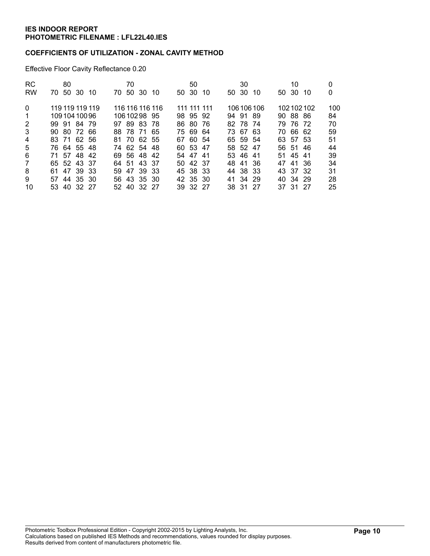### **COEFFICIENTS OF UTILIZATION - ZONAL CAVITY METHOD**

Effective Floor Cavity Reflectance 0.20

| <b>RC</b><br><b>RW</b> | 80<br>-50<br>30 10<br>70. | 70<br>50 30<br>70.<br>10 | 50<br>50 30<br>10 | 30<br>50 30<br>-10 | 10<br>50 30<br>-10 | 0<br>0 |
|------------------------|---------------------------|--------------------------|-------------------|--------------------|--------------------|--------|
| $\Omega$               | 119 119 119 119           | 116 116 116 116          | 111 111 111       | 106106106          | 102102102          | 100    |
|                        |                           |                          |                   |                    |                    |        |
| -1                     | 10910410096               | 10610298 95              | 98 95 92          | 94 91 89           | 90 88 86           | 84     |
| $\overline{2}$         | 99 91 84 79               | 97 89 83 78              | 86 80 76          | 82 78 74           | 79 76 72           | 70     |
| 3                      | 90 80 72 66               | 88 78 71 65              | 75 69 64          | 73 67 63           | 70 66 62           | 59     |
| 4                      | 83 71 62 56               | 81 70 62 55              | 67 60 54          | 65 59 54           | 63 57 53           | 51     |
| 5                      | 76 64 55 48               | 74 62 54 48              | 60 53 47          | 58 52 47           | 56 51<br>-46       | 44     |
| 6                      | 71 57 48 42               | 69 56 48 42              | 54 47 41          | 53 46 41           | 51 45 41           | 39     |
| $\overline{7}$         | 65 52 43 37               | 64 51 43 37              | 50 42 37          | 48 41 36           | 47 41 36           | 34     |
| 8                      | 61 47 39 33               | 59 47 39 33              | 45 38 33          | 44 38 33           | 43 37<br>-32       | 31     |
| 9                      | 57 44 35 30               | 56 43 35 30              | 42 35 30          | 41 34 29           | 40 34 29           | 28     |
| 10                     | 53 40 32 27               | 52 40 32 27              | 39 32 27          | 38 31 27           | 37 31 27           | 25     |